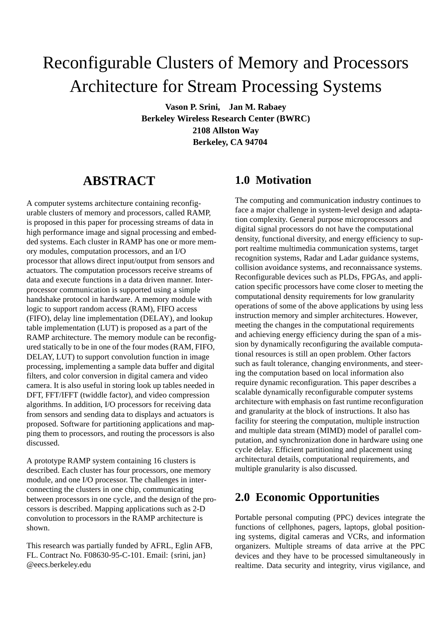# Reconfigurable Clusters of Memory and Processors Architecture for Stream Processing Systems

**Vason P. Srini, Jan M. Rabaey Berkeley Wireless Research Center (BWRC) 2108 Allston Way Berkeley, CA 94704**

## **ABSTRACT**

A computer systems architecture containing reconfigurable clusters of memory and processors, called RAMP, is proposed in this paper for processing streams of data in high performance image and signal processing and embedded systems. Each cluster in RAMP has one or more memory modules, computation processors, and an I/O processor that allows direct input/output from sensors and actuators. The computation processors receive streams of data and execute functions in a data driven manner. Interprocessor communication is supported using a simple handshake protocol in hardware. A memory module with logic to support random access (RAM), FIFO access (FIFO), delay line implementation (DELAY), and lookup table implementation (LUT) is proposed as a part of the RAMP architecture. The memory module can be reconfigured statically to be in one of the four modes (RAM, FIFO, DELAY, LUT) to support convolution function in image processing, implementing a sample data buffer and digital filters, and color conversion in digital camera and video camera. It is also useful in storing look up tables needed in DFT, FFT/IFFT (twiddle factor), and video compression algorithms. In addition, I/O processors for receiving data from sensors and sending data to displays and actuators is proposed. Software for partitioning applications and mapping them to processors, and routing the processors is also discussed.

A prototype RAMP system containing 16 clusters is described. Each cluster has four processors, one memory module, and one I/O processor. The challenges in interconnecting the clusters in one chip, communicating between processors in one cycle, and the design of the processors is described. Mapping applications such as 2-D convolution to processors in the RAMP architecture is shown.

This research was partially funded by AFRL, Eglin AFB, FL. Contract No. F08630-95-C-101. Email: {srini, jan} @eecs.berkeley.edu

## **1.0 Motivation**

The computing and communication industry continues to face a major challenge in system-level design and adaptation complexity. General purpose microprocessors and digital signal processors do not have the computational density, functional diversity, and energy efficiency to support realtime multimedia communication systems, target recognition systems, Radar and Ladar guidance systems, collision avoidance systems, and reconnaissance systems. Reconfigurable devices such as PLDs, FPGAs, and application specific processors have come closer to meeting the computational density requirements for low granularity operations of some of the above applications by using less instruction memory and simpler architectures. However, meeting the changes in the computational requirements and achieving energy efficiency during the span of a mission by dynamically reconfiguring the available computational resources is still an open problem. Other factors such as fault tolerance, changing environments, and steering the computation based on local information also require dynamic reconfiguration. This paper describes a scalable dynamically reconfigurable computer systems architecture with emphasis on fast runtime reconfiguration and granularity at the block of instructions. It also has facility for steering the computation, multiple instruction and multiple data stream (MIMD) model of parallel computation, and synchronization done in hardware using one cycle delay. Efficient partitioning and placement using architectural details, computational requirements, and multiple granularity is also discussed.

## **2.0 Economic Opportunities**

Portable personal computing (PPC) devices integrate the functions of cellphones, pagers, laptops, global positioning systems, digital cameras and VCRs, and information organizers. Multiple streams of data arrive at the PPC devices and they have to be processed simultaneously in realtime. Data security and integrity, virus vigilance, and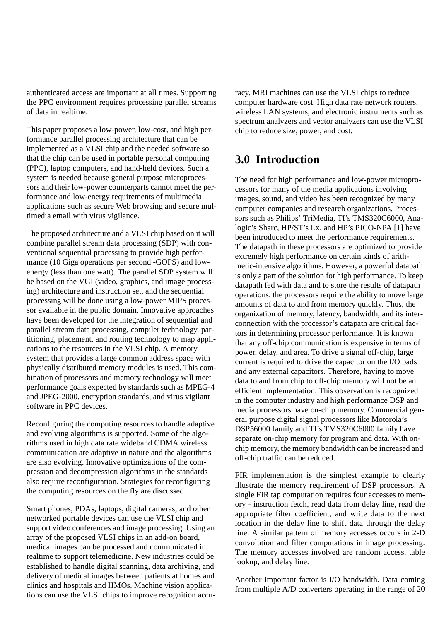authenticated access are important at all times. Supporting the PPC environment requires processing parallel streams of data in realtime.

This paper proposes a low-power, low-cost, and high performance parallel processing architecture that can be implemented as a VLSI chip and the needed software so that the chip can be used in portable personal computing (PPC), laptop computers, and hand-held devices. Such a system is needed because general purpose microprocessors and their low-power counterparts cannot meet the performance and low-energy requirements of multimedia applications such as secure Web browsing and secure multimedia email with virus vigilance.

The proposed architecture and a VLSI chip based on it will combine parallel stream data processing (SDP) with conventional sequential processing to provide high performance (10 Giga operations per second -GOPS) and lowenergy (less than one watt). The parallel SDP system will be based on the VGI (video, graphics, and image processing) architecture and instruction set, and the sequential processing will be done using a low-power MIPS processor available in the public domain. Innovative approaches have been developed for the integration of sequential and parallel stream data processing, compiler technology, partitioning, placement, and routing technology to map applications to the resources in the VLSI chip. A memory system that provides a large common address space with physically distributed memory modules is used. This combination of processors and memory technology will meet performance goals expected by standards such as MPEG-4 and JPEG-2000, encryption standards, and virus vigilant software in PPC devices.

Reconfiguring the computing resources to handle adaptive and evolving algorithms is supported. Some of the algorithms used in high data rate wideband CDMA wireless communication are adaptive in nature and the algorithms are also evolving. Innovative optimizations of the compression and decompression algorithms in the standards also require reconfiguration. Strategies for reconfiguring the computing resources on the fly are discussed.

Smart phones, PDAs, laptops, digital cameras, and other networked portable devices can use the VLSI chip and support video conferences and image processing. Using an array of the proposed VLSI chips in an add-on board, medical images can be processed and communicated in realtime to support telemedicine. New industries could be established to handle digital scanning, data archiving, and delivery of medical images between patients at homes and clinics and hospitals and HMOs. Machine vision applications can use the VLSI chips to improve recognition accuracy. MRI machines can use the VLSI chips to reduce computer hardware cost. High data rate network routers, wireless LAN systems, and electronic instruments such as spectrum analyzers and vector analyzers can use the VLSI chip to reduce size, power, and cost.

## **3.0 Introduction**

The need for high performance and low-power microprocessors for many of the media applications involving images, sound, and video has been recognized by many computer companies and research organizations. Processors such as Philips' TriMedia, TI's TMS320C6000, Analogic's Sharc, HP/ST's Lx, and HP's PICO-NPA [1] have been introduced to meet the performance requirements. The datapath in these processors are optimized to provide extremely high performance on certain kinds of arithmetic-intensive algorithms. However, a powerful datapath is only a part of the solution for high performance. To keep datapath fed with data and to store the results of datapath operations, the processors require the ability to move large amounts of data to and from memory quickly. Thus, the organization of memory, latency, bandwidth, and its interconnection with the processor's datapath are critical factors in determining processor performance. It is known that any off-chip communication is expensive in terms of power, delay, and area. To drive a signal off-chip, large current is required to drive the capacitor on the I/O pads and any external capacitors. Therefore, having to move data to and from chip to off-chip memory will not be an efficient implementation. This observation is recognized in the computer industry and high performance DSP and media processors have on-chip memory. Commercial general purpose digital signal processors like Motorola's DSP56000 family and TI's TMS320C6000 family have separate on-chip memory for program and data. With onchip memory, the memory bandwidth can be increased and off-chip traffic can be reduced.

FIR implementation is the simplest example to clearly illustrate the memory requirement of DSP processors. A single FIR tap computation requires four accesses to memory - instruction fetch, read data from delay line, read the appropriate filter coefficient, and write data to the next location in the delay line to shift data through the delay line. A similar pattern of memory accesses occurs in 2-D convolution and filter computations in image processing. The memory accesses involved are random access, table lookup, and delay line.

Another important factor is I/O bandwidth. Data coming from multiple A/D converters operating in the range of 20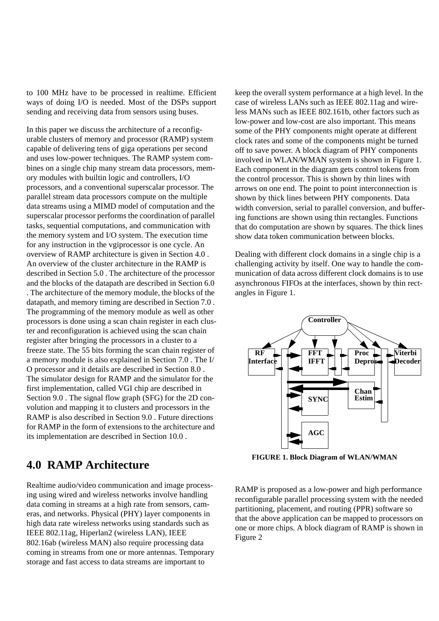to 100 MHz have to be processed in realtime. Efficient ways of doing I/O is needed. Most of the DSPs support sending and receiving data from sensors using buses.

In this paper we discuss the architecture of a reconfigurable clusters of memory and processor (RAMP) system capable of delivering tens of giga operations per second and uses low-power techniques. The RAMP system combines on a single chip many stream data processors, memory modules with builtin logic and controllers, I/O processors, and a conventional superscalar processor. The parallel stream data processors compute on the multiple data streams using a MIMD model of computation and the superscalar processor performs the coordination of parallel tasks, sequential computations, and communication with the memory system and I/O system. The execution time for any instruction in the vgiprocessor is one cycle. An overview of RAMP architecture is given in Section 4.0 . An overview of the cluster architecture in the RAMP is described in [Section](#page-3-0) 5.0 . The architecture of the processor and the blocks of the datapath are described in [Section](#page-5-0) 6.0 . The architecture of the memory module, the blocks of the datapath, and memory timing are described in [Section](#page-9-0) 7.0 . The programming of the memory module as well as other processors is done using a scan chain register in each cluster and reconfiguration is achieved using the scan chain register after bringing the processors in a cluster to a freeze state. The 55 bits forming the scan chain register of a memory module is also explained in [Section](#page-9-0) 7.0 . The I/ O processor and it details are described in [Section](#page-17-0) 8.0 . The simulator design for RAMP and the simulator for the first implementation, called VGI chip are described in [Section](#page-19-0) 9.0 . The signal flow graph (SFG) for the 2D convolution and mapping it to clusters and processors in the RAMP is also described in [Section](#page-19-0) 9.0 . Future directions for RAMP in the form of extensions to the architecture and its implementation are described in [Section](#page-22-0) 10.0 .

## **4.0 RAMP Architecture**

Realtime audio/video communication and image processing using wired and wireless networks involve handling data coming in streams at a high rate from sensors, cameras, and networks. Physical (PHY) layer components in high data rate wireless networks using standards such as IEEE 802.11ag, Hiperlan2 (wireless LAN), IEEE 802.16ab (wireless MAN) also require processing data coming in streams from one or more antennas. Temporary storage and fast access to data streams are important to

keep the overall system performance at a high level. In the case of wireless LANs such as IEEE 802.11ag and wireless MANs such as IEEE 802.161b, other factors such as low-power and low-cost are also important. This means some of the PHY components might operate at different clock rates and some of the components might be turned off to save power. A block diagram of PHY components involved in WLAN/WMAN system is shown in Figure 1. Each component in the diagram gets control tokens from the control processor. This is shown by thin lines with arrows on one end. The point to point interconnection is shown by thick lines between PHY components. Data width conversion, serial to parallel conversion, and buffering functions are shown using thin rectangles. Functions that do computation are shown by squares. The thick lines show data token communication between blocks.

Dealing with different clock domains in a single chip is a challenging activity by itself. One way to handle the communication of data across different clock domains is to use asynchronous FIFOs at the interfaces, shown by thin rectangles in Figure 1.



**FIGURE 1. Block Diagram of WLAN/WMAN**

RAMP is proposed as a low-power and high performance reconfigurable parallel processing system with the needed partitioning, placement, and routing (PPR) software so that the above application can be mapped to processors on one or more chips. A block diagram of RAMP is shown in [Figure](#page-3-0) 2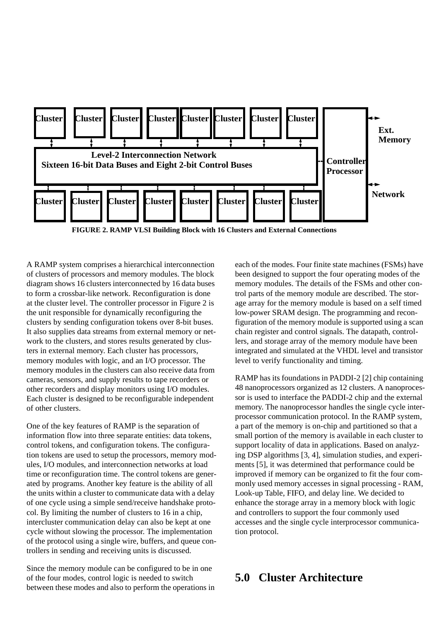<span id="page-3-0"></span>

**FIGURE 2. RAMP VLSI Building Block with 16 Clusters and External Connections**

A RAMP system comprises a hierarchical interconnection of clusters of processors and memory modules. The block diagram shows 16 clusters interconnected by 16 data buses to form a crossbar-like network. Reconfiguration is done at the cluster level. The controller processor in Figure 2 is the unit responsible for dynamically reconfiguring the clusters by sending configuration tokens over 8-bit buses. It also supplies data streams from external memory or network to the clusters, and stores results generated by clusters in external memory. Each cluster has processors, memory modules with logic, and an I/O processor. The memory modules in the clusters can also receive data from cameras, sensors, and supply results to tape recorders or other recorders and display monitors using I/O modules. Each cluster is designed to be reconfigurable independent of other clusters.

One of the key features of RAMP is the separation of information flow into three separate entities: data tokens, control tokens, and configuration tokens. The configuration tokens are used to setup the processors, memory modules, I/O modules, and interconnection networks at load time or reconfiguration time. The control tokens are generated by programs. Another key feature is the ability of all the units within a cluster to communicate data with a delay of one cycle using a simple send/receive handshake protocol. By limiting the number of clusters to 16 in a chip, intercluster communication delay can also be kept at one cycle without slowing the processor. The implementation of the protocol using a single wire, buffers, and queue controllers in sending and receiving units is discussed.

Since the memory module can be configured to be in one of the four modes, control logic is needed to switch between these modes and also to perform the operations in each of the modes. Four finite state machines (FSMs) have been designed to support the four operating modes of the memory modules. The details of the FSMs and other control parts of the memory module are described. The storage array for the memory module is based on a self timed low-power SRAM design. The programming and reconfiguration of the memory module is supported using a scan chain register and control signals. The datapath, controllers, and storage array of the memory module have been integrated and simulated at the VHDL level and transistor level to verify functionality and timing.

RAMP has its foundations in PADDI-2 [2] chip containing 48 nanoprocessors organized as 12 clusters. A nanoprocessor is used to interface the PADDI-2 chip and the external memory. The nanoprocessor handles the single cycle interprocessor communication protocol. In the RAMP system, a part of the memory is on-chip and partitioned so that a small portion of the memory is available in each cluster to support locality of data in applications. Based on analyzing DSP algorithms [3, 4], simulation studies, and experiments [5], it was determined that performance could be improved if memory can be organized to fit the four commonly used memory accesses in signal processing - RAM, Look-up Table, FIFO, and delay line. We decided to enhance the storage array in a memory block with logic and controllers to support the four commonly used accesses and the single cycle interprocessor communication protocol.

## **5.0 Cluster Architecture**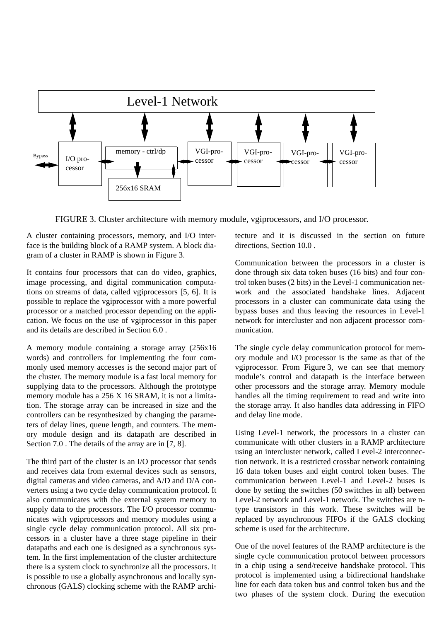

FIGURE 3. Cluster architecture with memory module, vgiprocessors, and I/O processor.

A cluster containing processors, memory, and I/O interface is the building block of a RAMP system. A block diagram of a cluster in RAMP is shown in Figure 3.

It contains four processors that can do video, graphics, image processing, and digital communication computations on streams of data, called vgiprocessors [5, 6]. It is possible to replace the vgiprocessor with a more powerful processor or a matched processor depending on the application. We focus on the use of vgiprocessor in this paper and its details are described in [Section](#page-5-0) 6.0 .

A memory module containing a storage array (256x16 words) and controllers for implementing the four commonly used memory accesses is the second major part of the cluster. The memory module is a fast local memory for supplying data to the processors. Although the prototype memory module has a 256 X 16 SRAM, it is not a limitation. The storage array can be increased in size and the controllers can be resynthesized by changing the parameters of delay lines, queue length, and counters. The memory module design and its datapath are described in [Section](#page-9-0) 7.0 . The details of the array are in [7, 8].

The third part of the cluster is an I/O processor that sends and receives data from external devices such as sensors, digital cameras and video cameras, and A/D and D/A converters using a two cycle delay communication protocol. It also communicates with the external system memory to supply data to the processors. The I/O processor communicates with vgiprocessors and memory modules using a single cycle delay communication protocol. All six processors in a cluster have a three stage pipeline in their datapaths and each one is designed as a synchronous system. In the first implementation of the cluster architecture there is a system clock to synchronize all the processors. It is possible to use a globally asynchronous and locally synchronous (GALS) clocking scheme with the RAMP architecture and it is discussed in the section on future directions, [Section](#page-22-0) 10.0 .

Communication between the processors in a cluster is done through six data token buses (16 bits) and four control token buses (2 bits) in the Level-1 communication network and the associated handshake lines. Adjacent processors in a cluster can communicate data using the bypass buses and thus leaving the resources in Level-1 network for intercluster and non adjacent processor communication.

The single cycle delay communication protocol for memory module and I/O processor is the same as that of the vgiprocessor. From Figure 3, we can see that memory module's control and datapath is the interface between other processors and the storage array. Memory module handles all the timing requirement to read and write into the storage array. It also handles data addressing in FIFO and delay line mode.

Using Level-1 network, the processors in a cluster can communicate with other clusters in a RAMP architecture using an intercluster network, called Level-2 interconnection network. It is a restricted crossbar network containing 16 data token buses and eight control token buses. The communication between Level-1 and Level-2 buses is done by setting the switches (50 switches in all) between Level-2 network and Level-1 network. The switches are ntype transistors in this work. These switches will be replaced by asynchronous FIFOs if the GALS clocking scheme is used for the architecture.

One of the novel features of the RAMP architecture is the single cycle communication protocol between processors in a chip using a send/receive handshake protocol. This protocol is implemented using a bidirectional handshake line for each data token bus and control token bus and the two phases of the system clock. During the execution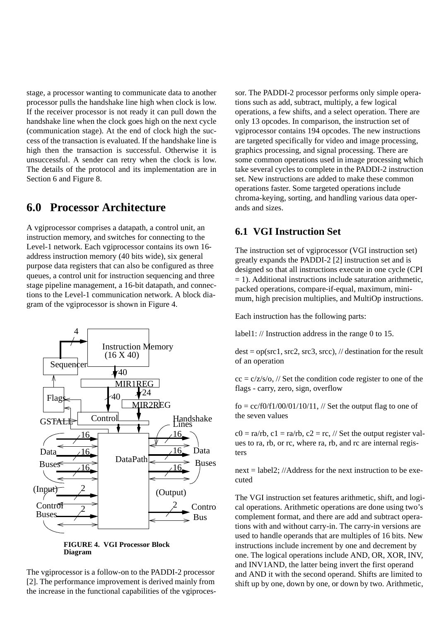<span id="page-5-0"></span>stage, a processor wanting to communicate data to another processor pulls the handshake line high when clock is low. If the receiver processor is not ready it can pull down the handshake line when the clock goes high on the next cycle (communication stage). At the end of clock high the success of the transaction is evaluated. If the handshake line is high then the transaction is successful. Otherwise it is unsuccessful. A sender can retry when the clock is low. The details of the protocol and its implementation are in Section 6 and [Figure](#page-8-0) 8.

## **6.0 Processor Architecture**

A vgiprocessor comprises a datapath, a control unit, an instruction memory, and switches for connecting to the Level-1 network. Each vgiprocessor contains its own 16 address instruction memory (40 bits wide), six general purpose data registers that can also be configured as three queues, a control unit for instruction sequencing and three stage pipeline management, a 16-bit datapath, and connections to the Level-1 communication network. A block diagram of the vgiprocessor is shown in Figure 4.



**FIGURE 4. VGI Processor Block Diagram**

The vgiprocessor is a follow-on to the PADDI-2 processor [2]. The performance improvement is derived mainly from the increase in the functional capabilities of the vgiprocessor. The PADDI-2 processor performs only simple operations such as add, subtract, multiply, a few logical operations, a few shifts, and a select operation. There are only 13 opcodes. In comparison, the instruction set of vgiprocessor contains 194 opcodes. The new instructions are targeted specifically for video and image processing, graphics processing, and signal processing. There are some common operations used in image processing which take several cycles to complete in the PADDI-2 instruction set. New instructions are added to make these common operations faster. Some targeted operations include chroma-keying, sorting, and handling various data operands and sizes.

### **6.1 VGI Instruction Set**

The instruction set of vgiprocessor (VGI instruction set) greatly expands the PADDI-2 [2] instruction set and is designed so that all instructions execute in one cycle (CPI  $= 1$ ). Additional instructions include saturation arithmetic, packed operations, compare-if-equal, maximum, minimum, high precision multiplies, and MultiOp instructions.

Each instruction has the following parts:

label1: // Instruction address in the range 0 to 15.

 $dest = op(src1, src2, src3, src2, // destination for the result$ of an operation

 $cc = c/z/s/O$ , // Set the condition code register to one of the flags - carry, zero, sign, overflow

 $f_0 = \frac{c}{f_0} \frac{f_0}{f_1} \frac{f_0}{f_1} \frac{f_1}{f_1} \frac{f_1}{f_1} \frac{f_2}{f_1}$  Set the output flag to one of the seven values

 $c0 = ra/rb$ ,  $c1 = ra/rb$ ,  $c2 = rc$ , // Set the output register values to ra, rb, or rc, where ra, rb, and rc are internal registers

 $next = label2$ : //Address for the next instruction to be executed

The VGI instruction set features arithmetic, shift, and logical operations. Arithmetic operations are done using two's complement format, and there are add and subtract operations with and without carry-in. The carry-in versions are used to handle operands that are multiples of 16 bits. New instructions include increment by one and decrement by one. The logical operations include AND, OR, XOR, INV, and INV1AND, the latter being invert the first operand and AND it with the second operand. Shifts are limited to shift up by one, down by one, or down by two. Arithmetic,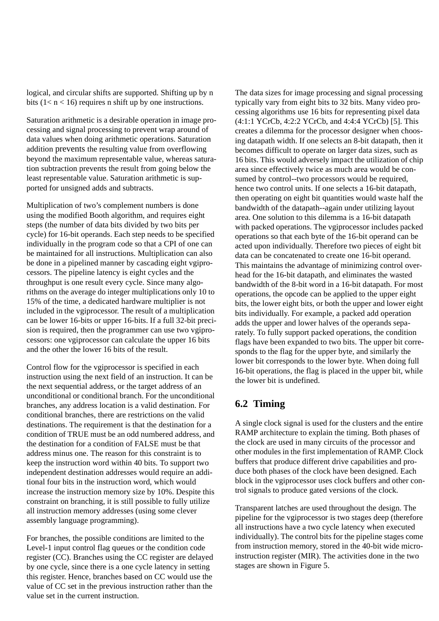logical, and circular shifts are supported. Shifting up by n bits  $(1 < n < 16)$  requires n shift up by one instructions.

Saturation arithmetic is a desirable operation in image processing and signal processing to prevent wrap around of data values when doing arithmetic operations. Saturation addition prevents the resulting value from overflowing beyond the maximum representable value, whereas saturation subtraction prevents the result from going below the least representable value. Saturation arithmetic is supported for unsigned adds and subtracts.

Multiplication of two's complement numbers is done using the modified Booth algorithm, and requires eight steps (the number of data bits divided by two bits per cycle) for 16-bit operands. Each step needs to be specified individually in the program code so that a CPI of one can be maintained for all instructions. Multiplication can also be done in a pipelined manner by cascading eight vgiprocessors. The pipeline latency is eight cycles and the throughput is one result every cycle. Since many algorithms on the average do integer multiplications only 10 to 15% of the time, a dedicated hardware multiplier is not included in the vgiprocessor. The result of a multiplication can be lower 16-bits or upper 16-bits. If a full 32-bit precision is required, then the programmer can use two vgiprocessors: one vgiprocessor can calculate the upper 16 bits and the other the lower 16 bits of the result.

Control flow for the vgiprocessor is specified in each instruction using the next field of an instruction. It can be the next sequential address, or the target address of an unconditional or conditional branch. For the unconditional branches, any address location is a valid destination. For conditional branches, there are restrictions on the valid destinations. The requirement is that the destination for a condition of TRUE must be an odd numbered address, and the destination for a condition of FALSE must be that address minus one. The reason for this constraint is to keep the instruction word within 40 bits. To support two independent destination addresses would require an additional four bits in the instruction word, which would increase the instruction memory size by 10%. Despite this constraint on branching, it is still possible to fully utilize all instruction memory addresses (using some clever assembly language programming).

For branches, the possible conditions are limited to the Level-1 input control flag queues or the condition code register (CC). Branches using the CC register are delayed by one cycle, since there is a one cycle latency in setting this register. Hence, branches based on CC would use the value of CC set in the previous instruction rather than the value set in the current instruction.

The data sizes for image processing and signal processing typically vary from eight bits to 32 bits. Many video processing algorithms use 16 bits for representing pixel data (4:1:1 YCrCb, 4:2:2 YCrCb, and 4:4:4 YCrCb) [5]. This creates a dilemma for the processor designer when choosing datapath width. If one selects an 8-bit datapath, then it becomes difficult to operate on larger data sizes, such as 16 bits. This would adversely impact the utilization of chip area since effectively twice as much area would be consumed by control--two processors would be required, hence two control units. If one selects a 16-bit datapath, then operating on eight bit quantities would waste half the bandwidth of the datapath--again under utilizing layout area. One solution to this dilemma is a 16-bit datapath with packed operations. The vgiprocessor includes packed operations so that each byte of the 16-bit operand can be acted upon individually. Therefore two pieces of eight bit data can be concatenated to create one 16-bit operand. This maintains the advantage of minimizing control overhead for the 16-bit datapath, and eliminates the wasted bandwidth of the 8-bit word in a 16-bit datapath. For most operations, the opcode can be applied to the upper eight bits, the lower eight bits, or both the upper and lower eight bits individually. For example, a packed add operation adds the upper and lower halves of the operands separately. To fully support packed operations, the condition flags have been expanded to two bits. The upper bit corresponds to the flag for the upper byte, and similarly the lower bit corresponds to the lower byte. When doing full 16-bit operations, the flag is placed in the upper bit, while the lower bit is undefined.

## **6.2 Timing**

A single clock signal is used for the clusters and the entire RAMP architecture to explain the timing. Both phases of the clock are used in many circuits of the processor and other modules in the first implementation of RAMP. Clock buffers that produce different drive capabilities and produce both phases of the clock have been designed. Each block in the vgiprocessor uses clock buffers and other control signals to produce gated versions of the clock.

Transparent latches are used throughout the design. The pipeline for the vgiprocessor is two stages deep (therefore all instructions have a two cycle latency when executed individually). The control bits for the pipeline stages come from instruction memory, stored in the 40-bit wide microinstruction register (MIR). The activities done in the two stages are shown in [Figure](#page-7-0) 5.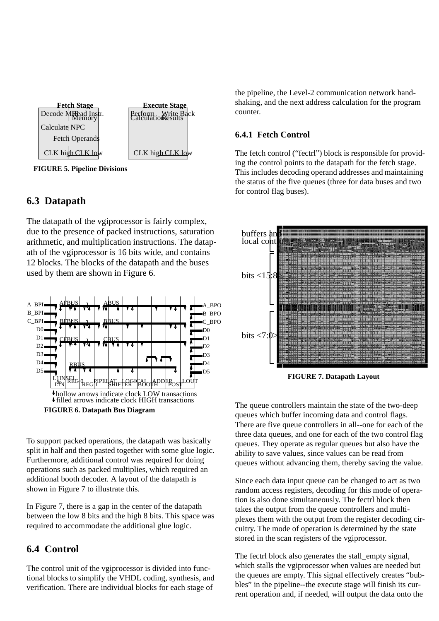<span id="page-7-0"></span>

**FIGURE 5. Pipeline Divisions**

#### **6.3 Datapath**

The datapath of the vgiprocessor is fairly complex, due to the presence of packed instructions, saturation arithmetic, and multiplication instructions. The datapath of the vgiprocessor is 16 bits wide, and contains 12 blocks. The blocks of the datapath and the buses used by them are shown in Figure 6.



To support packed operations, the datapath was basically split in half and then pasted together with some glue logic. Furthermore, additional control was required for doing operations such as packed multiplies, which required an additional booth decoder. A layout of the datapath is shown in Figure 7 to illustrate this.

In Figure 7, there is a gap in the center of the datapath between the low 8 bits and the high 8 bits. This space was required to accommodate the additional glue logic.

## **6.4 Control**

The control unit of the vgiprocessor is divided into functional blocks to simplify the VHDL coding, synthesis, and verification. There are individual blocks for each stage of

the pipeline, the Level-2 communication network handshaking, and the next address calculation for the program counter.

#### **6.4.1 Fetch Control**

The fetch control ("fectrl") block is responsible for providing the control points to the datapath for the fetch stage. This includes decoding operand addresses and maintaining the status of the five queues (three for data buses and two for control flag buses).



**FIGURE 7. Datapath Layout**

The queue controllers maintain the state of the two-deep queues which buffer incoming data and control flags. There are five queue controllers in all--one for each of the three data queues, and one for each of the two control flag queues. They operate as regular queues but also have the ability to save values, since values can be read from queues without advancing them, thereby saving the value.

Since each data input queue can be changed to act as two random access registers, decoding for this mode of operation is also done simultaneously. The fectrl block then takes the output from the queue controllers and multiplexes them with the output from the register decoding circuitry. The mode of operation is determined by the state stored in the scan registers of the vgiprocessor.

The fectrl block also generates the stall\_empty signal, which stalls the vgiprocessor when values are needed but the queues are empty. This signal effectively creates "bubbles" in the pipeline--the execute stage will finish its current operation and, if needed, will output the data onto the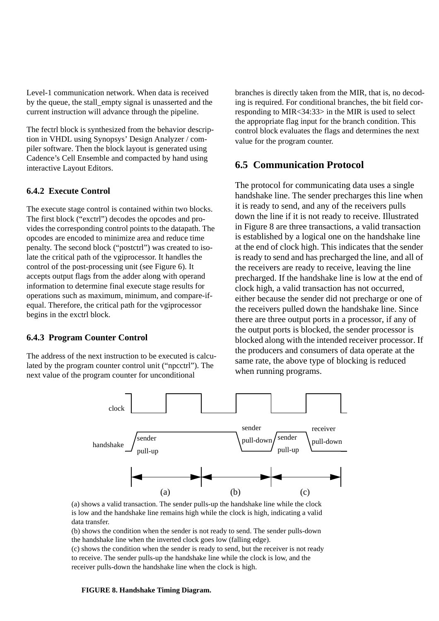<span id="page-8-0"></span>Level-1 communication network. When data is received by the queue, the stall\_empty signal is unasserted and the current instruction will advance through the pipeline.

The fectrl block is synthesized from the behavior description in VHDL using Synopsys' Design Analyzer / compiler software. Then the block layout is generated using Cadence's Cell Ensemble and compacted by hand using interactive Layout Editors.

#### **6.4.2 Execute Control**

The execute stage control is contained within two blocks. The first block ("exctrl") decodes the opcodes and provides the corresponding control points to the datapath. The opcodes are encoded to minimize area and reduce time penalty. The second block ("postctrl") was created to isolate the critical path of the vgiprocessor. It handles the control of the post-processing unit (see [Figure](#page-7-0) 6). It accepts output flags from the adder along with operand information to determine final execute stage results for operations such as maximum, minimum, and compare-ifequal. Therefore, the critical path for the vgiprocessor begins in the exctrl block.

#### **6.4.3 Program Counter Control**

The address of the next instruction to be executed is calculated by the program counter control unit ("npcctrl"). The next value of the program counter for unconditional

branches is directly taken from the MIR, that is, no decoding is required. For conditional branches, the bit field corresponding to MIR<34:33> in the MIR is used to select the appropriate flag input for the branch condition. This control block evaluates the flags and determines the next value for the program counter.

### **6.5 Communication Protocol**

The protocol for communicating data uses a single handshake line. The sender precharges this line when it is ready to send, and any of the receivers pulls down the line if it is not ready to receive. Illustrated in Figure 8 are three transactions, a valid transaction is established by a logical one on the handshake line at the end of clock high. This indicates that the sender is ready to send and has precharged the line, and all of the receivers are ready to receive, leaving the line precharged. If the handshake line is low at the end of clock high, a valid transaction has not occurred, either because the sender did not precharge or one of the receivers pulled down the handshake line. Since there are three output ports in a processor, if any of the output ports is blocked, the sender processor is blocked along with the intended receiver processor. If the producers and consumers of data operate at the same rate, the above type of blocking is reduced when running programs.



(a) shows a valid transaction. The sender pulls-up the handshake line while the clock is low and the handshake line remains high while the clock is high, indicating a valid data transfer.

(b) shows the condition when the sender is not ready to send. The sender pulls-down the handshake line when the inverted clock goes low (falling edge).

(c) shows the condition when the sender is ready to send, but the receiver is not ready to receive. The sender pulls-up the handshake line while the clock is low, and the receiver pulls-down the handshake line when the clock is high.

#### **FIGURE 8. Handshake Timing Diagram.**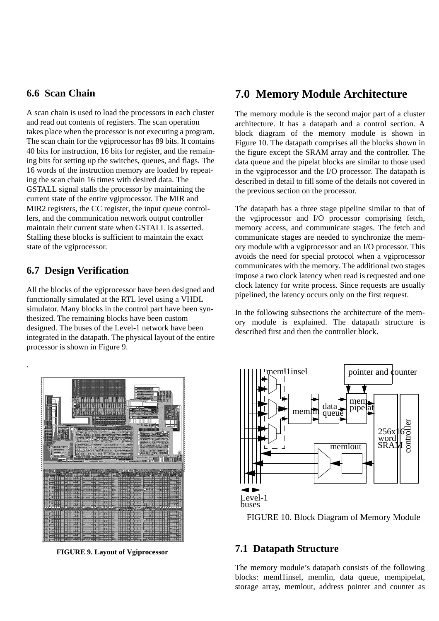### <span id="page-9-0"></span>**6.6 Scan Chain**

A scan chain is used to load the processors in each cluster and read out contents of registers. The scan operation takes place when the processor is not executing a program. The scan chain for the vgiprocessor has 89 bits. It contains 40 bits for instruction, 16 bits for register, and the remaining bits for setting up the switches, queues, and flags. The 16 words of the instruction memory are loaded by repeating the scan chain 16 times with desired data. The GSTALL signal stalls the processor by maintaining the current state of the entire vgiprocessor. The MIR and MIR2 registers, the CC register, the input queue controllers, and the communication network output controller maintain their current state when GSTALL is asserted. Stalling these blocks is sufficient to maintain the exact state of the vgiprocessor.

## **6.7 Design Verification**

.

All the blocks of the vgiprocessor have been designed and functionally simulated at the RTL level using a VHDL simulator. Many blocks in the control part have been synthesized. The remaining blocks have been custom designed. The buses of the Level-1 network have been integrated in the datapath. The physical layout of the entire processor is shown in Figure 9.

## **7.0 Memory Module Architecture**

The memory module is the second major part of a cluster architecture. It has a datapath and a control section. A block diagram of the memory module is shown in Figure 10. The datapath comprises all the blocks shown in the figure except the SRAM array and the controller. The data queue and the pipelat blocks are similar to those used in the vgiprocessor and the I/O processor. The datapath is described in detail to fill some of the details not covered in the previous section on the processor.

The datapath has a three stage pipeline similar to that of the vgiprocessor and I/O processor comprising fetch, memory access, and communicate stages. The fetch and communicate stages are needed to synchronize the memory module with a vgiprocessor and an I/O processor. This avoids the need for special protocol when a vgiprocessor communicates with the memory. The additional two stages impose a two clock latency when read is requested and one clock latency for write process. Since requests are usually pipelined, the latency occurs only on the first request.

In the following subsections the architecture of the memory module is explained. The datapath structure is described first and then the controller block.



**FIGURE 9. Layout of Vgiprocessor**



FIGURE 10. Block Diagram of Memory Module

#### **7.1 Datapath Structure**

The memory module's datapath consists of the following blocks: meml1insel, memlin, data queue, mempipelat, storage array, memlout, address pointer and counter as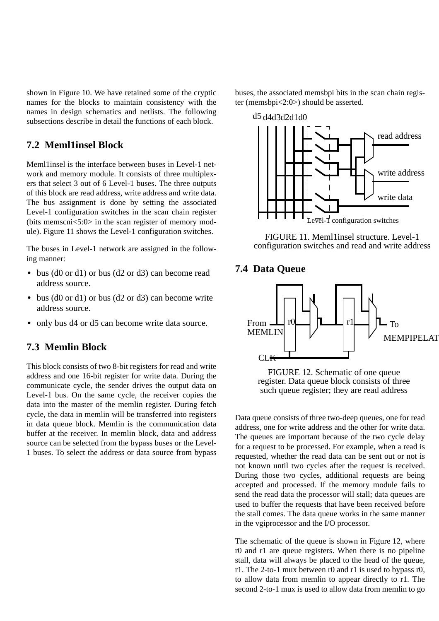<span id="page-10-0"></span>shown in [Figure](#page-9-0) 10. We have retained some of the cryptic names for the blocks to maintain consistency with the names in design schematics and netlists. The following subsections describe in detail the functions of each block.

#### **7.2 Meml1insel Block**

Meml1insel is the interface between buses in Level-1 network and memory module. It consists of three multiplexers that select 3 out of 6 Level-1 buses. The three outputs of this block are read address, write address and write data. The bus assignment is done by setting the associated Level-1 configuration switches in the scan chain register (bits memscni<5:0> in the scan register of memory module). Figure 11 shows the Level-1 configuration switches.

The buses in Level-1 network are assigned in the following manner:

- bus (d0 or d1) or bus (d2 or d3) can become read address source.
- bus (d0 or d1) or bus (d2 or d3) can become write address source.
- only bus d4 or d5 can become write data source.

#### **7.3 Memlin Block**

This block consists of two 8-bit registers for read and write address and one 16-bit register for write data. During the communicate cycle, the sender drives the output data on Level-1 bus. On the same cycle, the receiver copies the data into the master of the memlin register. During fetch cycle, the data in memlin will be transferred into registers in data queue block. Memlin is the communication data buffer at the receiver. In memlin block, data and address source can be selected from the bypass buses or the Level-1 buses. To select the address or data source from bypass buses, the associated memsbpi bits in the scan chain register (memsbpi<2:0>) should be asserted.



FIGURE 11. Meml1insel structure. Level-1 configuration switches and read and write address

#### **7.4 Data Queue**



FIGURE 12. Schematic of one queue register. Data queue block consists of three such queue register; they are read address

Data queue consists of three two-deep queues, one for read address, one for write address and the other for write data. The queues are important because of the two cycle delay for a request to be processed. For example, when a read is requested, whether the read data can be sent out or not is not known until two cycles after the request is received. During those two cycles, additional requests are being accepted and processed. If the memory module fails to send the read data the processor will stall; data queues are used to buffer the requests that have been received before the stall comes. The data queue works in the same manner in the vgiprocessor and the I/O processor.

The schematic of the queue is shown in Figure 12, where r0 and r1 are queue registers. When there is no pipeline stall, data will always be placed to the head of the queue, r1. The 2-to-1 mux between r0 and r1 is used to bypass r0, to allow data from memlin to appear directly to r1. The second 2-to-1 mux is used to allow data from memlin to go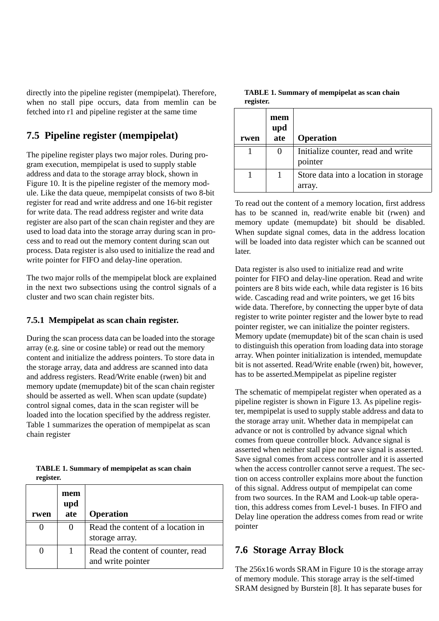<span id="page-11-0"></span>directly into the pipeline register (mempipelat). Therefore, when no stall pipe occurs, data from memlin can be fetched into r1 and pipeline register at the same time

## **7.5 Pipeline register (mempipelat)**

The pipeline register plays two major roles. During program execution, mempipelat is used to supply stable address and data to the storage array block, shown in [Figure](#page-9-0) 10. It is the pipeline register of the memory module. Like the data queue, mempipelat consists of two 8-bit register for read and write address and one 16-bit register for write data. The read address register and write data register are also part of the scan chain register and they are used to load data into the storage array during scan in process and to read out the memory content during scan out process. Data register is also used to initialize the read and write pointer for FIFO and delay-line operation.

The two major rolls of the mempipelat block are explained in the next two subsections using the control signals of a cluster and two scan chain register bits.

#### **7.5.1 Mempipelat as scan chain register.**

During the scan process data can be loaded into the storage array (e.g. sine or cosine table) or read out the memory content and initialize the address pointers. To store data in the storage array, data and address are scanned into data and address registers. Read/Write enable (rwen) bit and memory update (memupdate) bit of the scan chain register should be asserted as well. When scan update (supdate) control signal comes, data in the scan register will be loaded into the location specified by the address register. Table 1 summarizes the operation of mempipelat as scan chain register

|           | <b>TABLE 1. Summary of mempipelat as scan chain</b> |  |  |
|-----------|-----------------------------------------------------|--|--|
| register. |                                                     |  |  |

| rwen | mem<br>upd<br>ate | <b>Operation</b>                                       |
|------|-------------------|--------------------------------------------------------|
|      |                   | Read the content of a location in<br>storage array.    |
|      |                   | Read the content of counter, read<br>and write pointer |

| <b>TABLE 1. Summary of mempipelat as scan chain</b> |  |
|-----------------------------------------------------|--|
| register.                                           |  |

| rwen | mem<br>upd<br>$\overline{a}$ te | <b>Operation</b>                                |
|------|---------------------------------|-------------------------------------------------|
|      |                                 | Initialize counter, read and write<br>pointer   |
|      |                                 | Store data into a location in storage<br>array. |

To read out the content of a memory location, first address has to be scanned in, read/write enable bit (rwen) and memory update (memupdate) bit should be disabled. When supdate signal comes, data in the address location will be loaded into data register which can be scanned out later.

Data register is also used to initialize read and write pointer for FIFO and delay-line operation. Read and write pointers are 8 bits wide each, while data register is 16 bits wide. Cascading read and write pointers, we get 16 bits wide data. Therefore, by connecting the upper byte of data register to write pointer register and the lower byte to read pointer register, we can initialize the pointer registers. Memory update (memupdate) bit of the scan chain is used to distinguish this operation from loading data into storage array. When pointer initialization is intended, memupdate bit is not asserted. Read/Write enable (rwen) bit, however, has to be asserted.Mempipelat as pipeline register

The schematic of mempipelat register when operated as a pipeline register is shown in [Figure](#page-12-0) 13. As pipeline register, mempipelat is used to supply stable address and data to the storage array unit. Whether data in mempipelat can advance or not is controlled by advance signal which comes from queue controller block. Advance signal is asserted when neither stall pipe nor save signal is asserted. Save signal comes from access controller and it is asserted when the access controller cannot serve a request. The section on access controller explains more about the function of this signal. Address output of mempipelat can come from two sources. In the RAM and Look-up table operation, this address comes from Level-1 buses. In FIFO and Delay line operation the address comes from read or write pointer

## **7.6 Storage Array Block**

The 256x16 words SRAM in [Figure](#page-9-0) 10 is the storage array of memory module. This storage array is the self-timed SRAM designed by Burstein [8]. It has separate buses for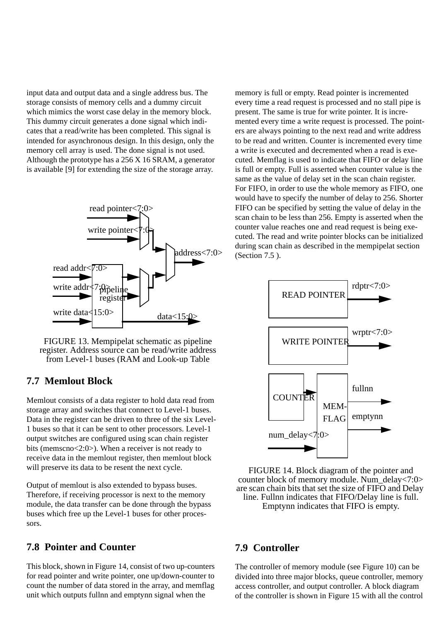<span id="page-12-0"></span>input data and output data and a single address bus. The storage consists of memory cells and a dummy circuit which mimics the worst case delay in the memory block. This dummy circuit generates a done signal which indicates that a read/write has been completed. This signal is intended for asynchronous design. In this design, only the memory cell array is used. The done signal is not used. Although the prototype has a 256 X 16 SRAM, a generator is available [9] for extending the size of the storage array.





## **7.7 Memlout Block**

Memlout consists of a data register to hold data read from storage array and switches that connect to Level-1 buses. Data in the register can be driven to three of the six Level-1 buses so that it can be sent to other processors. Level-1 output switches are configured using scan chain register bits (memscno<2:0>). When a receiver is not ready to receive data in the memlout register, then memlout block will preserve its data to be resent the next cycle.

Output of memlout is also extended to bypass buses. Therefore, if receiving processor is next to the memory module, the data transfer can be done through the bypass buses which free up the Level-1 buses for other processors.

#### **7.8 Pointer and Counter**

This block, shown in Figure 14, consist of two up-counters for read pointer and write pointer, one up/down-counter to count the number of data stored in the array, and memflag unit which outputs fullnn and emptynn signal when the

memory is full or empty. Read pointer is incremented every time a read request is processed and no stall pipe is present. The same is true for write pointer. It is incremented every time a write request is processed. The pointers are always pointing to the next read and write address to be read and written. Counter is incremented every time a write is executed and decremented when a read is executed. Memflag is used to indicate that FIFO or delay line is full or empty. Full is asserted when counter value is the same as the value of delay set in the scan chain register. For FIFO, in order to use the whole memory as FIFO, one would have to specify the number of delay to 256. Shorter FIFO can be specified by setting the value of delay in the scan chain to be less than 256. Empty is asserted when the counter value reaches one and read request is being executed. The read and write pointer blocks can be initialized during scan chain as described in the mempipelat section [\(Section](#page-11-0) 7.5 ).



FIGURE 14. Block diagram of the pointer and counter block of memory module. Num\_delay<7:0> are scan chain bits that set the size of FIFO and Delay line. Fullnn indicates that FIFO/Delay line is full. Emptynn indicates that FIFO is empty.

#### **7.9 Controller**

The controller of memory module (see [Figure](#page-9-0) 10) can be divided into three major blocks, queue controller, memory access controller, and output controller. A block diagram of the controller is shown in [Figure](#page-13-0) 15 with all the control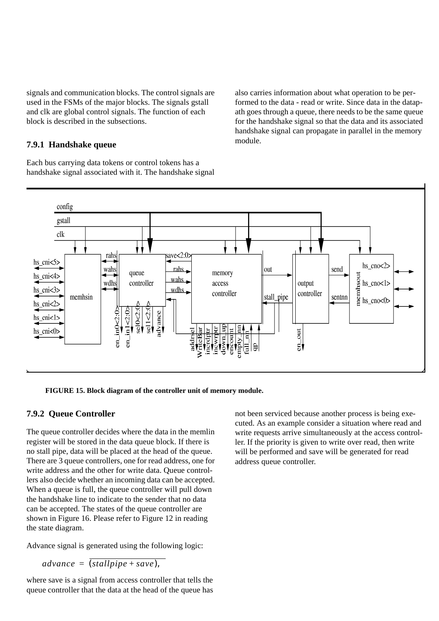<span id="page-13-0"></span>signals and communication blocks. The control signals are used in the FSMs of the major blocks. The signals gstall and clk are global control signals. The function of each block is described in the subsections.

#### **7.9.1 Handshake queue**

Each bus carrying data tokens or control tokens has a handshake signal associated with it. The handshake signal also carries information about what operation to be performed to the data - read or write. Since data in the datapath goes through a queue, there needs to be the same queue for the handshake signal so that the data and its associated handshake signal can propagate in parallel in the memory module.



**FIGURE 15. Block diagram of the controller unit of memory module.**

#### **7.9.2 Queue Controller**

The queue controller decides where the data in the memlin register will be stored in the data queue block. If there is no stall pipe, data will be placed at the head of the queue. There are 3 queue controllers, one for read address, one for write address and the other for write data. Queue controllers also decide whether an incoming data can be accepted. When a queue is full, the queue controller will pull down the handshake line to indicate to the sender that no data can be accepted. The states of the queue controller are shown in [Figure](#page-14-0) 16. Please refer to [Figure](#page-10-0) 12 in reading the state diagram.

Advance signal is generated using the following logic:

$$
advance = (stallpipe + save),
$$

where save is a signal from access controller that tells the queue controller that the data at the head of the queue has not been serviced because another process is being executed. As an example consider a situation where read and write requests arrive simultaneously at the access controller. If the priority is given to write over read, then write will be performed and save will be generated for read address queue controller.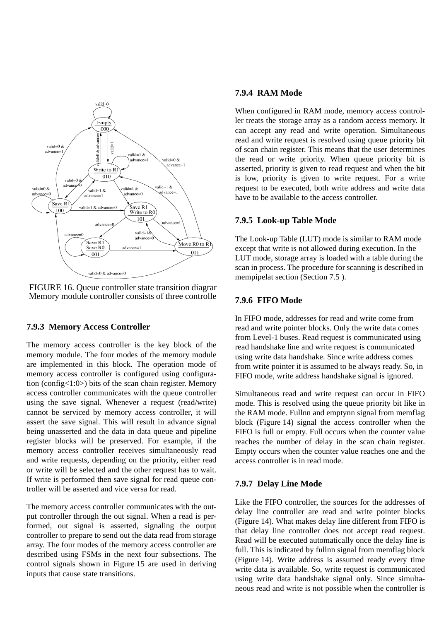<span id="page-14-0"></span>

FIGURE 16. Queue controller state transition diagram. Memory module controller consists of three controllers

#### **7.9.3 Memory Access Controller**

The memory access controller is the key block of the memory module. The four modes of the memory module are implemented in this block. The operation mode of memory access controller is configured using configuration (config<1:0>) bits of the scan chain register. Memory access controller communicates with the queue controller using the save signal. Whenever a request (read/write) cannot be serviced by memory access controller, it will assert the save signal. This will result in advance signal being unasserted and the data in data queue and pipeline register blocks will be preserved. For example, if the memory access controller receives simultaneously read and write requests, depending on the priority, either read or write will be selected and the other request has to wait. If write is performed then save signal for read queue controller will be asserted and vice versa for read.

The memory access controller communicates with the output controller through the out signal. When a read is performed, out signal is asserted, signaling the output controller to prepare to send out the data read from storage array. The four modes of the memory access controller are described using FSMs in the next four subsections. The control signals shown in [Figure](#page-13-0) 15 are used in deriving inputs that cause state transitions.

#### **7.9.4 RAM Mode**

When configured in RAM mode, memory access controller treats the storage array as a random access memory. It can accept any read and write operation. Simultaneous read and write request is resolved using queue priority bit of scan chain register. This means that the user determines the read or write priority. When queue priority bit is asserted, priority is given to read request and when the bit is low, priority is given to write request. For a write request to be executed, both write address and write data have to be available to the access controller.

#### **7.9.5 Look-up Table Mode**

The Look-up Table (LUT) mode is similar to RAM mode except that write is not allowed during execution. In the LUT mode, storage array is loaded with a table during the scan in process. The procedure for scanning is described in mempipelat section ([Section](#page-11-0) 7.5 ).

#### **7.9.6 FIFO Mode**

In FIFO mode, addresses for read and write come from read and write pointer blocks. Only the write data comes from Level-1 buses. Read request is communicated using read handshake line and write request is communicated using write data handshake. Since write address comes from write pointer it is assumed to be always ready. So, in FIFO mode, write address handshake signal is ignored.

Simultaneous read and write request can occur in FIFO mode. This is resolved using the queue priority bit like in the RAM mode. Fullnn and emptynn signal from memflag block ([Figure](#page-12-0) 14) signal the access controller when the FIFO is full or empty. Full occurs when the counter value reaches the number of delay in the scan chain register. Empty occurs when the counter value reaches one and the access controller is in read mode.

#### **7.9.7 Delay Line Mode**

Like the FIFO controller, the sources for the addresses of delay line controller are read and write pointer blocks [\(Figure](#page-12-0) 14). What makes delay line different from FIFO is that delay line controller does not accept read request. Read will be executed automatically once the delay line is full. This is indicated by fullnn signal from memflag block [\(Figure](#page-12-0) 14). Write address is assumed ready every time write data is available. So, write request is communicated using write data handshake signal only. Since simultaneous read and write is not possible when the controller is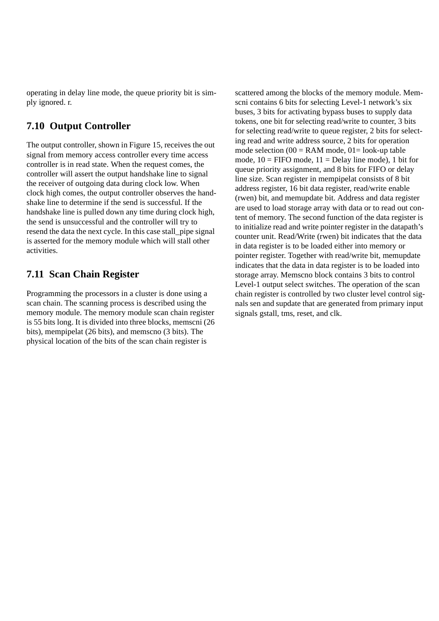operating in delay line mode, the queue priority bit is simply ignored. r.

### **7.10 Output Controller**

The output controller, shown in [Figure](#page-13-0) 15, receives the out signal from memory access controller every time access controller is in read state. When the request comes, the controller will assert the output handshake line to signal the receiver of outgoing data during clock low. When clock high comes, the output controller observes the handshake line to determine if the send is successful. If the handshake line is pulled down any time during clock high, the send is unsuccessful and the controller will try to resend the data the next cycle. In this case stall\_pipe signal is asserted for the memory module which will stall other activities.

### **7.11 Scan Chain Register**

Programming the processors in a cluster is done using a scan chain. The scanning process is described using the memory module. The memory module scan chain register is 55 bits long. It is divided into three blocks, memscni (26 bits), mempipelat (26 bits), and memscno (3 bits). The physical location of the bits of the scan chain register is

scattered among the blocks of the memory module. Memscni contains 6 bits for selecting Level-1 network's six buses, 3 bits for activating bypass buses to supply data tokens, one bit for selecting read/write to counter, 3 bits for selecting read/write to queue register, 2 bits for selecting read and write address source, 2 bits for operation mode selection  $(00 = RAM \text{ mode}, 01 = \text{look-up table})$ mode,  $10 =$  FIFO mode,  $11 =$  Delay line mode), 1 bit for queue priority assignment, and 8 bits for FIFO or delay line size. Scan register in mempipelat consists of 8 bit address register, 16 bit data register, read/write enable (rwen) bit, and memupdate bit. Address and data register are used to load storage array with data or to read out content of memory. The second function of the data register is to initialize read and write pointer register in the datapath's counter unit. Read/Write (rwen) bit indicates that the data in data register is to be loaded either into memory or pointer register. Together with read/write bit, memupdate indicates that the data in data register is to be loaded into storage array. Memscno block contains 3 bits to control Level-1 output select switches. The operation of the scan chain register is controlled by two cluster level control signals sen and supdate that are generated from primary input signals gstall, tms, reset, and clk.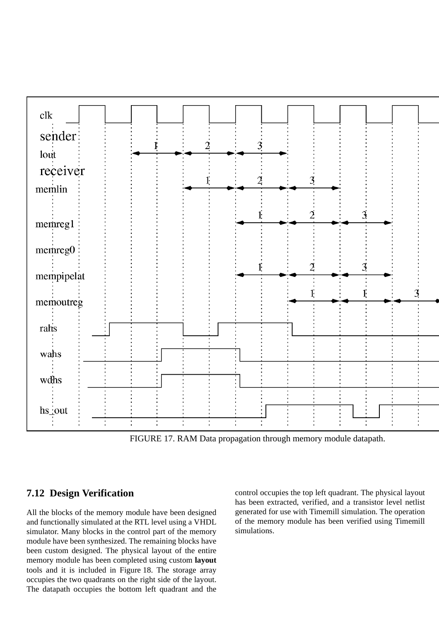<span id="page-16-0"></span>

FIGURE 17. RAM Data propagation through memory module datapath.

### **7.12 Design Verification**

All the blocks of the memory module have been designed and functionally simulated at the RTL level using a VHDL simulator. Many blocks in the control part of the memory module have been synthesized. The remaining blocks have been custom designed. The physical layout of the entire memory module has been completed using custom **layout** tools and it is included in [Figure](#page-17-0) 18. The storage array occupies the two quadrants on the right side of the layout. The datapath occupies the bottom left quadrant and the control occupies the top left quadrant. The physical layout has been extracted, verified, and a transistor level netlist generated for use with Timemill simulation. The operation of the memory module has been verified using Timemill simulations.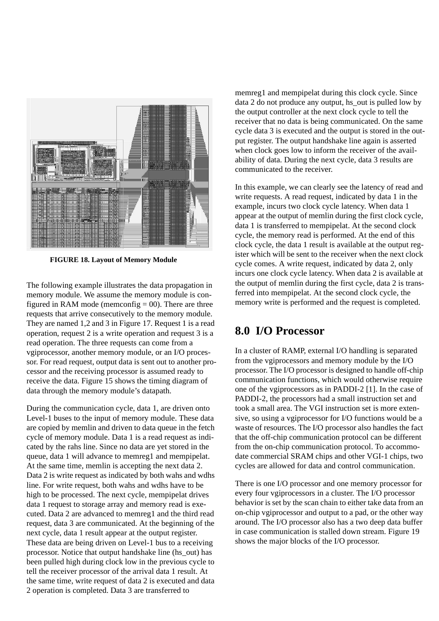<span id="page-17-0"></span>

**FIGURE 18. Layout of Memory Module**

The following example illustrates the data propagation in memory module. We assume the memory module is configured in RAM mode (memconfig  $= 00$ ). There are three requests that arrive consecutively to the memory module. They are named 1,2 and 3 in [Figure](#page-16-0) 17. Request 1 is a read operation, request 2 is a write operation and request 3 is a read operation. The three requests can come from a vgiprocessor, another memory module, or an I/O processor. For read request, output data is sent out to another processor and the receiving processor is assumed ready to receive the data. Figure 15 shows the timing diagram of data through the memory module's datapath.

During the communication cycle, data 1, are driven onto Level-1 buses to the input of memory module. These data are copied by memlin and driven to data queue in the fetch cycle of memory module. Data 1 is a read request as indicated by the rahs line. Since no data are yet stored in the queue, data 1 will advance to memreg1 and mempipelat. At the same time, memlin is accepting the next data 2. Data 2 is write request as indicated by both wahs and wdhs line. For write request, both wahs and wdhs have to be high to be processed. The next cycle, mempipelat drives data 1 request to storage array and memory read is executed. Data 2 are advanced to memreg1 and the third read request, data 3 are communicated. At the beginning of the next cycle, data 1 result appear at the output register. These data are being driven on Level-1 bus to a receiving processor. Notice that output handshake line (hs\_out) has been pulled high during clock low in the previous cycle to tell the receiver processor of the arrival data 1 result. At the same time, write request of data 2 is executed and data 2 operation is completed. Data 3 are transferred to

memreg1 and mempipelat during this clock cycle. Since data 2 do not produce any output, hs out is pulled low by the output controller at the next clock cycle to tell the receiver that no data is being communicated. On the same cycle data 3 is executed and the output is stored in the output register. The output handshake line again is asserted when clock goes low to inform the receiver of the availability of data. During the next cycle, data 3 results are communicated to the receiver.

In this example, we can clearly see the latency of read and write requests. A read request, indicated by data 1 in the example, incurs two clock cycle latency. When data 1 appear at the output of memlin during the first clock cycle, data 1 is transferred to mempipelat. At the second clock cycle, the memory read is performed. At the end of this clock cycle, the data 1 result is available at the output register which will be sent to the receiver when the next clock cycle comes. A write request, indicated by data 2, only incurs one clock cycle latency. When data 2 is available at the output of memlin during the first cycle, data 2 is transferred into mempipelat. At the second clock cycle, the memory write is performed and the request is completed.

## **8.0 I/O Processor**

In a cluster of RAMP, external I/O handling is separated from the vgiprocessors and memory module by the I/O processor. The I/O processor is designed to handle off-chip communication functions, which would otherwise require one of the vgiprocessors as in PADDI-2 [1]. In the case of PADDI-2, the processors had a small instruction set and took a small area. The VGI instruction set is more extensive, so using a vgiprocessor for I/O functions would be a waste of resources. The I/O processor also handles the fact that the off-chip communication protocol can be different from the on-chip communication protocol. To accommodate commercial SRAM chips and other VGI-1 chips, two cycles are allowed for data and control communication.

There is one I/O processor and one memory processor for every four vgiprocessors in a cluster. The I/O processor behavior is set by the scan chain to either take data from an on-chip vgiprocessor and output to a pad, or the other way around. The I/O processor also has a two deep data buffer in case communication is stalled down stream. [Figure](#page-18-0) 19 shows the major blocks of the I/O processor.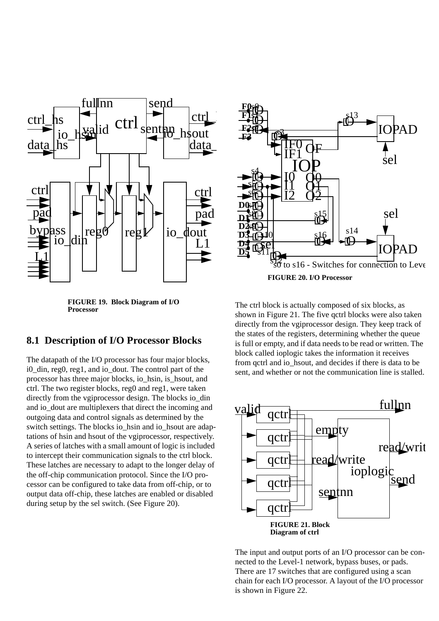<span id="page-18-0"></span>



**FIGURE 19. Block Diagram of I/O Processor**

#### **8.1 Description of I/O Processor Blocks**

The datapath of the I/O processor has four major blocks, i0\_din, reg0, reg1, and io\_dout. The control part of the processor has three major blocks, io\_hsin, is\_hsout, and ctrl. The two register blocks, reg0 and reg1, were taken directly from the vgiprocessor design. The blocks io din and io dout are multiplexers that direct the incoming and outgoing data and control signals as determined by the switch settings. The blocks io hsin and io hsout are adaptations of hsin and hsout of the vgiprocessor, respectively. A series of latches with a small amount of logic is included to intercept their communication signals to the ctrl block. These latches are necessary to adapt to the longer delay of the off-chip communication protocol. Since the I/O processor can be configured to take data from off-chip, or to output data off-chip, these latches are enabled or disabled during setup by the sel switch. (See Figure 20).

The ctrl block is actually composed of six blocks, as shown in Figure 21. The five qctrl blocks were also taken directly from the vgiprocessor design. They keep track of the states of the registers, determining whether the queue is full or empty, and if data needs to be read or written. The block called ioplogic takes the information it receives from qctrl and io\_hsout, and decides if there is data to be sent, and whether or not the communication line is stalled.



The input and output ports of an I/O processor can be connected to the Level-1 network, bypass buses, or pads. There are 17 switches that are configured using a scan chain for each I/O processor. A layout of the I/O processor is shown in [Figure](#page-19-0) 22.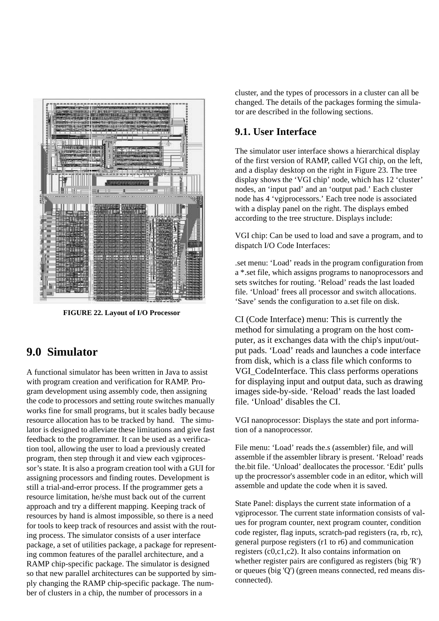<span id="page-19-0"></span>

**FIGURE 22. Layout of I/O Processor**

## **9.0 Simulator**

A functional simulator has been written in Java to assist with program creation and verification for RAMP. Program development using assembly code, then assigning the code to processors and setting route switches manually works fine for small programs, but it scales badly because resource allocation has to be tracked by hand. The simulator is designed to alleviate these limitations and give fast feedback to the programmer. It can be used as a verification tool, allowing the user to load a previously created program, then step through it and view each vgiprocessor's state. It is also a program creation tool with a GUI for assigning processors and finding routes. Development is still a trial-and-error process. If the programmer gets a resource limitation, he/she must back out of the current approach and try a different mapping. Keeping track of resources by hand is almost impossible, so there is a need for tools to keep track of resources and assist with the routing process. The simulator consists of a user interface package, a set of utilities package, a package for representing common features of the parallel architecture, and a RAMP chip-specific package. The simulator is designed so that new parallel architectures can be supported by simply changing the RAMP chip-specific package. The number of clusters in a chip, the number of processors in a

cluster, and the types of processors in a cluster can all be changed. The details of the packages forming the simulator are described in the following sections.

#### **9.1. User Interface**

The simulator user interface shows a hierarchical display of the first version of RAMP, called VGI chip, on the left, and a display desktop on the right in [Figure](#page-20-0) 23. The tree display shows the 'VGI chip' node, which has 12 'cluster' nodes, an 'input pad' and an 'output pad.' Each cluster node has 4 'vgiprocessors.' Each tree node is associated with a display panel on the right. The displays embed according to the tree structure. Displays include:

VGI chip: Can be used to load and save a program, and to dispatch I/O Code Interfaces:

.set menu: 'Load' reads in the program configuration from a \*.set file, which assigns programs to nanoprocessors and sets switches for routing. 'Reload' reads the last loaded file. 'Unload' frees all processor and switch allocations. 'Save' sends the configuration to a.set file on disk.

CI (Code Interface) menu: This is currently the method for simulating a program on the host computer, as it exchanges data with the chip's input/output pads. 'Load' reads and launches a code interface from disk, which is a class file which conforms to VGI\_CodeInterface. This class performs operations for displaying input and output data, such as drawing images side-by-side. 'Reload' reads the last loaded file. 'Unload' disables the CI.

VGI nanoprocessor: Displays the state and port information of a nanoprocessor.

File menu: 'Load' reads the.s (assembler) file, and will assemble if the assembler library is present. 'Reload' reads the.bit file. 'Unload' deallocates the processor. 'Edit' pulls up the procressor's assembler code in an editor, which will assemble and update the code when it is saved.

State Panel: displays the current state information of a vgiprocessor. The current state information consists of values for program counter, next program counter, condition code register, flag inputs, scratch-pad registers (ra, rb, rc), general purpose registers (r1 to r6) and communication registers (c0,c1,c2). It also contains information on whether register pairs are configured as registers (big 'R') or queues (big 'Q') (green means connected, red means disconnected).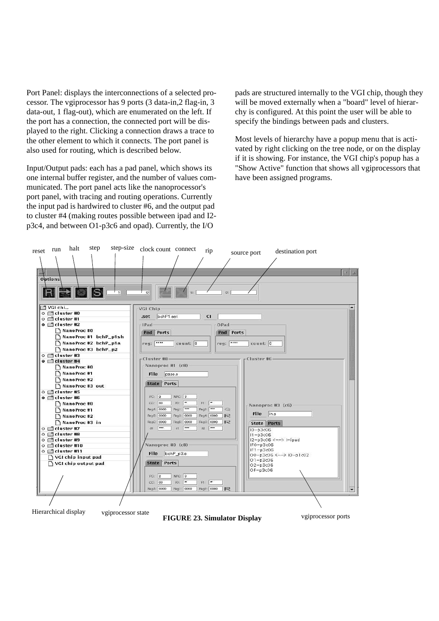<span id="page-20-0"></span>Port Panel: displays the interconnections of a selected processor. The vgiprocessor has 9 ports (3 data-in,2 flag-in, 3 data-out, 1 flag-out), which are enumerated on the left. If the port has a connection, the connected port will be displayed to the right. Clicking a connection draws a trace to the other element to which it connects. The port panel is also used for routing, which is described below.

Input/Output pads: each has a pad panel, which shows its one internal buffer register, and the number of values communicated. The port panel acts like the nanoprocessor's port panel, with tracing and routing operations. Currently the input pad is hardwired to cluster #6, and the output pad to cluster #4 (making routes possible between ipad and I2 p3c4, and between O1-p3c6 and opad). Currently, the I/O

pads are structured internally to the VGI chip, though they will be moved externally when a "board" level of hierarchy is configured. At this point the user will be able to specify the bindings between pads and clusters.

Most levels of hierarchy have a popup menu that is activated by right clicking on the tree node, or on the display if it is showing. For instance, the VGI chip's popup has a "Show Active" function that shows all vgiprocessors that have been assigned programs.

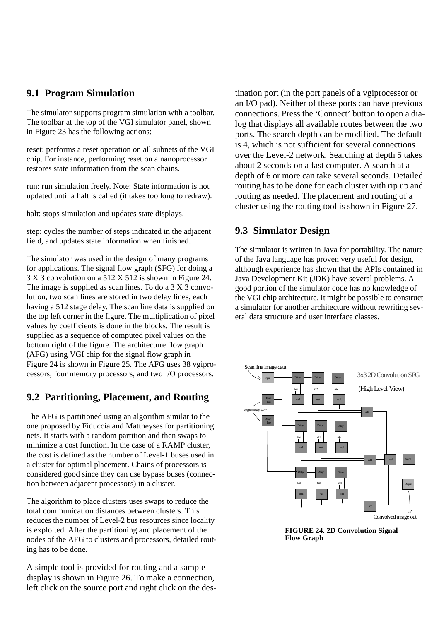## **9.1 Program Simulation**

The simulator supports program simulation with a toolbar. The toolbar at the top of the VGI simulator panel, shown in [Figure](#page-20-0) 23 has the following actions:

reset: performs a reset operation on all subnets of the VGI chip. For instance, performing reset on a nanoprocessor restores state information from the scan chains.

run: run simulation freely. Note: State information is not updated until a halt is called (it takes too long to redraw).

halt: stops simulation and updates state displays.

step: cycles the number of steps indicated in the adjacent field, and updates state information when finished.

The simulator was used in the design of many programs for applications. The signal flow graph (SFG) for doing a 3 X 3 convolution on a 512 X 512 is shown in Figure 24. The image is supplied as scan lines. To do a 3 X 3 convolution, two scan lines are stored in two delay lines, each having a 512 stage delay. The scan line data is supplied on the top left corner in the figure. The multiplication of pixel values by coefficients is done in the blocks. The result is supplied as a sequence of computed pixel values on the bottom right of the figure. The architecture flow graph (AFG) using VGI chip for the signal flow graph in Figure 24 is shown in [Figure](#page-22-0) 25. The AFG uses 38 vgiprocessors, four memory processors, and two I/O processors.

## **9.2 Partitioning, Placement, and Routing**

The AFG is partitioned using an algorithm similar to the one proposed by Fiduccia and Mattheyses for partitioning nets. It starts with a random partition and then swaps to minimize a cost function. In the case of a RAMP cluster, the cost is defined as the number of Level-1 buses used in a cluster for optimal placement. Chains of processors is considered good since they can use bypass buses (connection between adjacent processors) in a cluster.

The algorithm to place clusters uses swaps to reduce the total communication distances between clusters. This reduces the number of Level-2 bus resources since locality is exploited. After the partitioning and placement of the nodes of the AFG to clusters and processors, detailed routing has to be done.

A simple tool is provided for routing and a sample display is shown in [Figure](#page-22-0) 26. To make a connection, left click on the source port and right click on the destination port (in the port panels of a vgiprocessor or an I/O pad). Neither of these ports can have previous connections. Press the 'Connect' button to open a dialog that displays all available routes between the two ports. The search depth can be modified. The default is 4, which is not sufficient for several connections over the Level-2 network. Searching at depth 5 takes about 2 seconds on a fast computer. A search at a depth of 6 or more can take several seconds. Detailed routing has to be done for each cluster with rip up and routing as needed. The placement and routing of a cluster using the routing tool is shown in [Figure](#page-22-0) 27.

### **9.3 Simulator Design**

The simulator is written in Java for portability. The nature of the Java language has proven very useful for design, although experience has shown that the APIs contained in Java Development Kit (JDK) have several problems. A good portion of the simulator code has no knowledge of the VGI chip architecture. It might be possible to construct a simulator for another architecture without rewriting several data structure and user interface classes.



**FIGURE 24. 2D Convolution Signal Flow Graph**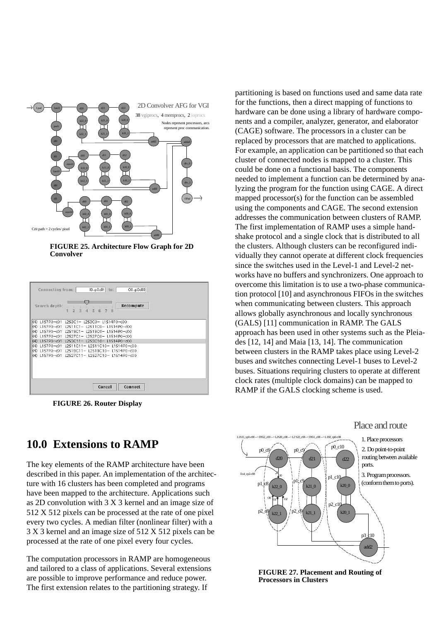<span id="page-22-0"></span>

**FIGURE 25. Architecture Flow Graph for 2D Convolver**

| Search depth:                                                                                                                                                               | <b>Recompute</b><br>协.<br>$\overline{2}$<br>5<br><b>E</b><br>$\overline{7}$<br>8<br>$\frac{1}{2}$                                                                                                                                                                                   |  |
|-----------------------------------------------------------------------------------------------------------------------------------------------------------------------------|-------------------------------------------------------------------------------------------------------------------------------------------------------------------------------------------------------------------------------------------------------------------------------------|--|
| (4)<br>L1S7P0-c01<br>(4)<br>L1S7P0-c01<br>(4)<br>L1S7P0-c01<br>(4)<br>L1S7P0-c01<br>(4)<br>$L157P0 - c01$<br>(4)<br>$L1$ S7P0-c01<br>(4)<br>L1S7P0-c01<br>(4)<br>L1S7P0-c01 | L2S3C1- L2S3C0- L1S14P0-c00<br>L2S11C1- L2S11C0- L1S14P0-c00<br>L2S19C1- L2S19C0- L1S14P0-c00<br>$L2S27C1-$<br>L2S27C0- L1S14P0-c00<br>L2S3C10- L1S14P0-c00<br>$1253C11 -$<br>L2S11C11- L2S11C10- L1S14P0-c00<br>L2S19C11- L2S19C10- L1S14P0-c00<br>L2S27C11- L2S27C10- L1S14P0-c00 |  |
|                                                                                                                                                                             | Cancel<br>Connect                                                                                                                                                                                                                                                                   |  |

**FIGURE 26. Router Display**

**10.0 Extensions to RAMP**

The key elements of the RAMP architecture have been described in this paper. An implementation of the architecture with 16 clusters has been completed and programs have been mapped to the architecture. Applications such as 2D convolution with 3 X 3 kernel and an image size of 512 X 512 pixels can be processed at the rate of one pixel every two cycles. A median filter (nonlinear filter) with a 3 X 3 kernel and an image size of 512 X 512 pixels can be processed at the rate of one pixel every four cycles.

The computation processors in RAMP are homogeneous and tailored to a class of applications. Several extensions are possible to improve performance and reduce power. The first extension relates to the partitioning strategy. If

partitioning is based on functions used and same data rate for the functions, then a direct mapping of functions to hardware can be done using a library of hardware components and a compiler, analyzer, generator, and elaborator (CAGE) software. The processors in a cluster can be replaced by processors that are matched to applications. For example, an application can be partitioned so that each cluster of connected nodes is mapped to a cluster. This could be done on a functional basis. The components needed to implement a function can be determined by analyzing the program for the function using CAGE. A direct mapped processor(s) for the function can be assembled using the components and CAGE. The second extension addresses the communication between clusters of RAMP. The first implementation of RAMP uses a simple handshake protocol and a single clock that is distributed to all the clusters. Although clusters can be reconfigured individually they cannot operate at different clock frequencies since the switches used in the Level-1 and Level-2 networks have no buffers and synchronizers. One approach to overcome this limitation is to use a two-phase communication protocol [10] and asynchronous FIFOs in the switches when communicating between clusters. This approach allows globally asynchronous and locally synchronous (GALS) [11] communication in RAMP. The GALS approach has been used in other systems such as the Pleiades [12, 14] and Maia [13, 14]. The communication between clusters in the RAMP takes place using Level-2 buses and switches connecting Level-1 buses to Level-2 buses. Situations requiring clusters to operate at different clock rates (multiple clock domains) can be mapped to RAMP if the GALS clocking scheme is used.

#### Place and route



**FIGURE 27. Placement and Routing of Processors in Clusters**